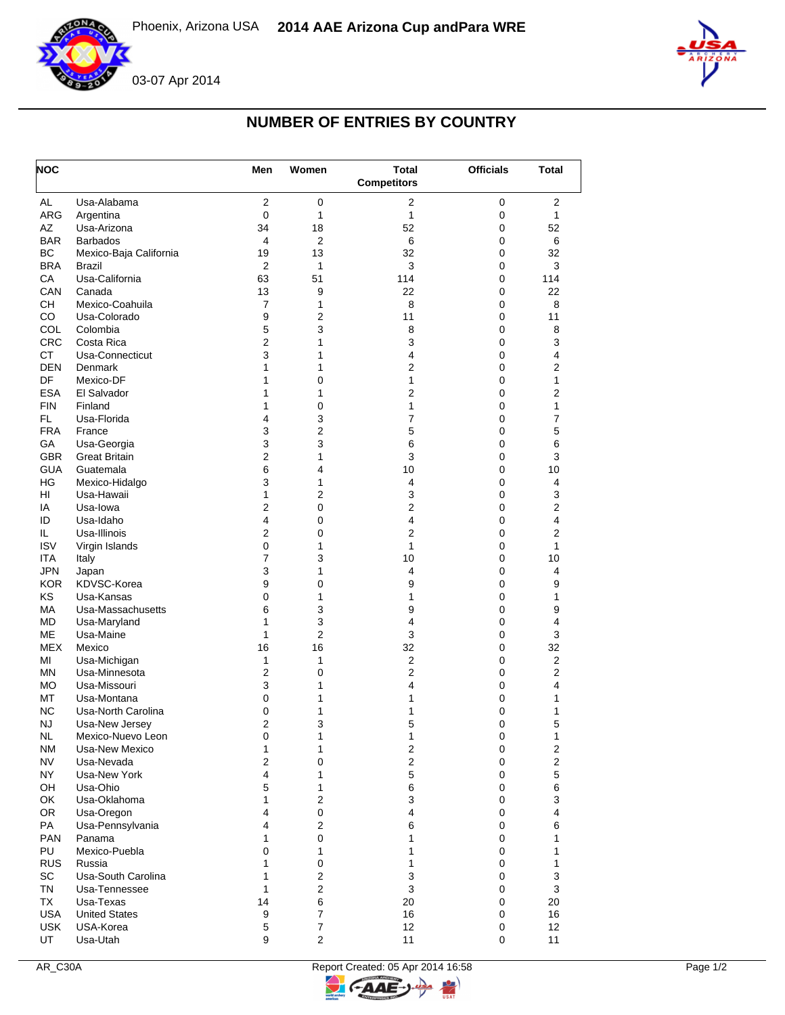



## **NUMBER OF ENTRIES BY COUNTRY**

| <b>NOC</b> |                        | Men            | Women          | <b>Total</b>            | <b>Officials</b> | Total          |
|------------|------------------------|----------------|----------------|-------------------------|------------------|----------------|
|            |                        |                |                | <b>Competitors</b>      |                  |                |
| AL         | Usa-Alabama            | $\overline{2}$ | $\mathbf 0$    | $\mathbf{2}$            | 0                | $\mathbf{2}$   |
| ARG        | Argentina              | 0              | 1              | $\mathbf{1}$            | 0                | 1              |
| AΖ         | Usa-Arizona            | 34             | 18             | 52                      | 0                | 52             |
| <b>BAR</b> | <b>Barbados</b>        | 4              | $\overline{2}$ | 6                       | 0                | 6              |
| BC         | Mexico-Baja California | 19             | 13             | 32                      | 0                | 32             |
| <b>BRA</b> | Brazil                 | $\overline{2}$ | 1              | 3                       | 0                | 3              |
| CA         | Usa-California         | 63             | 51             | 114                     | 0                | 114            |
| CAN        | Canada                 | 13             | 9              | 22                      | 0                | 22             |
| CH         | Mexico-Coahuila        | $\overline{7}$ | 1              | 8                       | 0                | 8              |
| CO         | Usa-Colorado           | 9              | $\overline{2}$ | 11                      | 0                | 11             |
| COL        | Colombia               | 5              | 3              | 8                       | 0                | 8              |
| <b>CRC</b> | Costa Rica             | $\overline{2}$ | 1              | 3                       | 0                | 3              |
| <b>CT</b>  | Usa-Connecticut        | 3              | 1              | 4                       | 0                | 4              |
| <b>DEN</b> | Denmark                | 1              | 1              | 2                       | 0                | 2              |
| DF         | Mexico-DF              | 1              | 0              | 1                       | 0                | 1              |
| <b>ESA</b> | El Salvador            | 1              | 1              | $\overline{2}$          | 0                | $\overline{2}$ |
| <b>FIN</b> | Finland                | 1              | 0              | 1                       | 0                | 1              |
| FL.        | Usa-Florida            | 4              | 3              | $\overline{7}$          | 0                | 7              |
| <b>FRA</b> | France                 | 3              | $\overline{2}$ | 5                       | 0                | 5              |
| GA         | Usa-Georgia            | 3              | 3              | 6                       | 0                | 6              |
| <b>GBR</b> | <b>Great Britain</b>   | 2              | 1              | 3                       | 0                | 3              |
| <b>GUA</b> | Guatemala              | 6              | 4              | 10                      | 0                | 10             |
| HG         | Mexico-Hidalgo         | 3              | 1              | 4                       | 0                | 4              |
| HI         | Usa-Hawaii             | $\mathbf{1}$   | 2              | 3                       | 0                | 3              |
| IA         | Usa-lowa               | $\overline{2}$ | 0              | $\overline{2}$          | 0                | $\overline{2}$ |
| ID         | Usa-Idaho              | 4              | 0              | $\overline{4}$          | 0                | 4              |
| IL.        | Usa-Illinois           | 2              | 0              | $\overline{2}$          | 0                | 2              |
| <b>ISV</b> | Virgin Islands         | 0              | 1              | 1                       | 0                | 1              |
| <b>ITA</b> | Italy                  | $\overline{7}$ | 3              | 10                      | 0                | 10             |
| <b>JPN</b> | Japan                  | 3              | 1              | 4                       | 0                | 4              |
| <b>KOR</b> | KDVSC-Korea            | 9              | 0              | 9                       | 0                | 9              |
| KS         | Usa-Kansas             | 0              | 1              | 1                       | 0                | 1              |
| <b>MA</b>  | Usa-Massachusetts      | 6              | 3              | 9                       | 0                | 9              |
| <b>MD</b>  | Usa-Maryland           | 1              | 3              | 4                       | 0                | 4              |
| <b>ME</b>  | Usa-Maine              | $\mathbf{1}$   | $\overline{2}$ | 3                       | 0                | 3              |
| <b>MEX</b> | Mexico                 | 16             | 16             | 32                      | 0                | 32             |
| MI         | Usa-Michigan           | $\mathbf{1}$   | 1              | $\overline{\mathbf{c}}$ | 0                | $\overline{2}$ |
| <b>MN</b>  | Usa-Minnesota          | $\overline{2}$ | 0              | $\overline{2}$          | 0                | 2              |
| <b>MO</b>  | Usa-Missouri           | 3              | 1              | 4                       | 0                | 4              |
| MT         | Usa-Montana            | 0              | 1              | 1                       | 0                | 1              |
| ΝC         | Usa-North Carolina     | 0              | 1              | 1                       | 0                | 1              |
| NJ         | Usa-New Jersey         | $\overline{2}$ | 3              | 5                       | 0                | 5              |
| NL.        | Mexico-Nuevo Leon      | 0              | 1              | 1                       | $\pmb{0}$        | 1              |
| <b>NM</b>  | Usa-New Mexico         | 1              | 1              | $\boldsymbol{2}$        | $\pmb{0}$        | $\overline{2}$ |
| <b>NV</b>  | Usa-Nevada             | $\mathbf{2}$   | 0              | $\mathbf 2$             | 0                | $\overline{c}$ |
| NY         | Usa-New York           | 4              | 1              | 5                       | 0                | 5              |
| OH         | Usa-Ohio               | 5              | 1              | 6                       | 0                | 6              |
| OK         | Usa-Oklahoma           | 1              | $\overline{2}$ | 3                       | 0                | 3              |
| <b>OR</b>  | Usa-Oregon             | 4              | 0              | $\overline{4}$          | 0                | 4              |
| PA         | Usa-Pennsylvania       | 4              | $\overline{2}$ | 6                       | 0                | 6              |
| <b>PAN</b> | Panama                 | 1              | 0              | 1                       | 0                | 1              |
| PU         | Mexico-Puebla          | 0              | 1              | 1                       | 0                | 1              |
| <b>RUS</b> | Russia                 | 1              | $\mathbf 0$    | 1                       | 0                | 1              |
| <b>SC</b>  | Usa-South Carolina     | 1              | $\overline{2}$ | 3                       | 0                | 3              |
| <b>TN</b>  | Usa-Tennessee          | $\mathbf{1}$   | $\overline{2}$ | 3                       | 0                | 3              |
| TX         | Usa-Texas              | 14             | 6              | 20                      | 0                | 20             |
| <b>USA</b> | <b>United States</b>   | 9              | $\overline{7}$ | 16                      | 0                | 16             |
| <b>USK</b> | USA-Korea              | 5              | 7              | 12                      | 0                | 12             |
| UT         | Usa-Utah               | 9              | $\overline{2}$ | 11                      | 0                | 11             |

 $\overline{z}$ 

C-AAE-J-